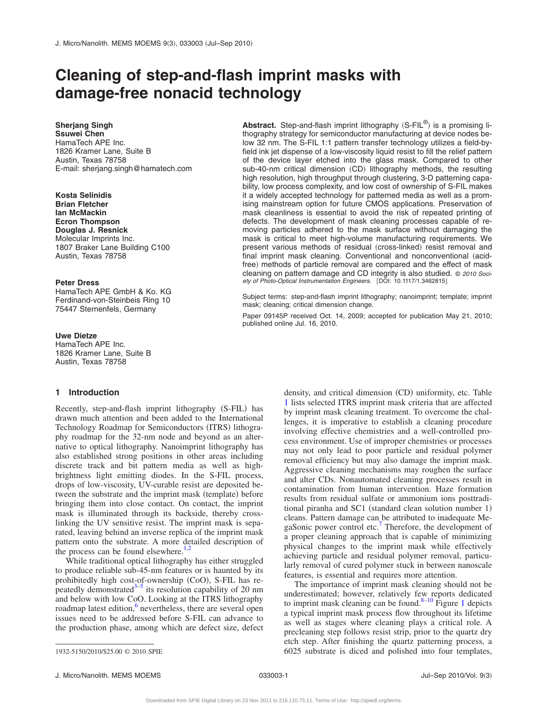# **Cleaning of step-and-flash imprint masks with damage-free nonacid technology**

## **Sherjang Singh**

**Ssuwei Chen** HamaTech APE Inc. 1826 Kramer Lane, Suite B Austin, Texas 78758 E-mail: sherjang.singh@hamatech.com

**Kosta Selinidis Brian Fletcher Ian McMackin Ecron Thompson Douglas J. Resnick** Molecular Imprints Inc. 1807 Braker Lane Building C100 Austin, Texas 78758

### **Peter Dress**

HamaTech APE GmbH & Ko. KG Ferdinand-von-Steinbeis Ring 10 75447 Sternenfels, Germany

#### **Uwe Dietze**

HamaTech APE Inc. 1826 Kramer Lane, Suite B Austin, Texas 78758

## **1 Introduction**

Recently, step-and-flash imprint lithography (S-FIL) has drawn much attention and been added to the International Technology Roadmap for Semiconductors (ITRS) lithography roadmap for the 32-nm node and beyond as an alternative to optical lithography. Nanoimprint lithography has also established strong positions in other areas including discrete track and bit pattern media as well as highbrightness light emitting diodes. In the S-FIL process, drops of low-viscosity, UV-curable resist are deposited between the substrate and the imprint mask (template) before bringing them into close contact. On contact, the imprint mask is illuminated through its backside, thereby crosslinking the UV sensitive resist. The imprint mask is separated, leaving behind an inverse replica of the imprint mask pattern onto the substrate. A more detailed description of the process can be found elsewhere.<sup>1</sup>,

While traditional optical lithography has either struggled to produce reliable sub-45-nm features or is haunted by its prohibitedly high cost-of-ownership (CoO), S-FIL has repeatedly demonstrated $3-5$  its resolution capability of 20 nm and below with low CoO. Looking at the ITRS lithography roadmap latest edition,<sup>6</sup> nevertheless, there are several open issues need to be addressed before S-FIL can advance to the production phase, among which are defect size, defect

Abstract. Step-and-flash imprint lithography (S-FIL<sup>®</sup>) is a promising lithography strategy for semiconductor manufacturing at device nodes below 32 nm. The S-FIL 1:1 pattern transfer technology utilizes a field-byfield ink jet dispense of a low-viscosity liquid resist to fill the relief pattern of the device layer etched into the glass mask. Compared to other sub-40-nm critical dimension (CD) lithography methods, the resulting high resolution, high throughput through clustering, 3-D patterning capability, low process complexity, and low cost of ownership of S-FIL makes it a widely accepted technology for patterned media as well as a promising mainstream option for future CMOS applications. Preservation of mask cleanliness is essential to avoid the risk of repeated printing of defects. The development of mask cleaning processes capable of removing particles adhered to the mask surface without damaging the mask is critical to meet high-volume manufacturing requirements. We present various methods of residual (cross-linked) resist removal and final imprint mask cleaning. Conventional and nonconventional (acidfree) methods of particle removal are compared and the effect of mask cleaning on pattern damage and CD integrity is also studied. © *2010 Soci*ety of Photo-Optical Instrumentation Engineers. [DOI: 10.1117/1.3462815]

Subject terms: step-and-flash imprint lithography; nanoimprint; template; imprint mask; cleaning; critical dimension change.

Paper 09145P received Oct. 14, 2009; accepted for publication May 21, 2010; published online Jul. 16, 2010.

> density, and critical dimension (CD) uniformity, etc. Table [1](#page-1-0) lists selected ITRS imprint mask criteria that are affected by imprint mask cleaning treatment. To overcome the challenges, it is imperative to establish a cleaning procedure involving effective chemistries and a well-controlled process environment. Use of improper chemistries or processes may not only lead to poor particle and residual polymer removal efficiency but may also damage the imprint mask. Aggressive cleaning mechanisms may roughen the surface and alter CDs. Nonautomated cleaning processes result in contamination from human intervention. Haze formation results from residual sulfate or ammonium ions posttraditional piranha and SC1 (standard clean solution number 1) cleans. Pattern damage can be attributed to inadequate MegaSonic power control etc.<sup>7</sup> Therefore, the development of a proper cleaning approach that is capable of minimizing physical changes to the imprint mask while effectively achieving particle and residual polymer removal, particularly removal of cured polymer stuck in between nanoscale features, is essential and requires more attention.

The importance of imprint mask cleaning should not be underestimated; however, relatively few reports dedicated to imprint mask cleaning can be found.<sup>8[–10](#page-6-7)</sup> Figure [1](#page-1-1) depicts a typical imprint mask process flow throughout its lifetime as well as stages where cleaning plays a critical role. A precleaning step follows resist strip, prior to the quartz dry etch step. After finishing the quartz patterning process, a 1932-5150/2010/\$25.00 © 2010 SPIE 6025 substrate is diced and polished into four templates,

J. Micro/Nanolith. MEMS MOEMS 033003-1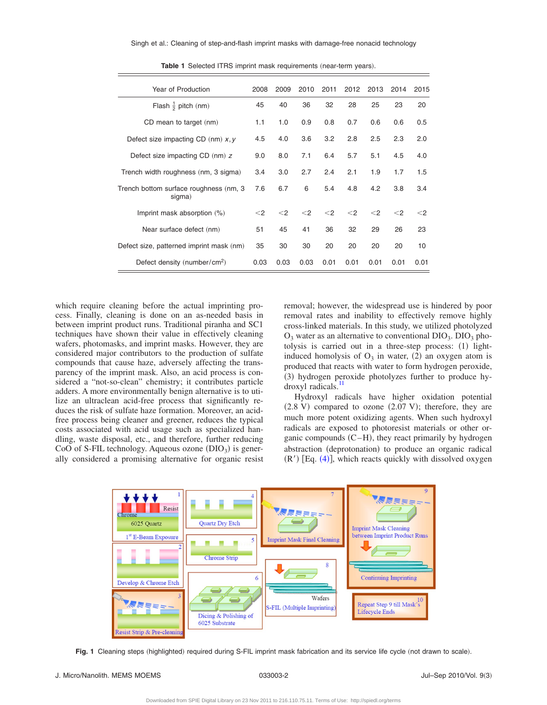<span id="page-1-0"></span>

| Year of Production                               | 2008  | 2009  | 2010  | 2011  | 2012  | 2013  | 2014  | 2015     |
|--------------------------------------------------|-------|-------|-------|-------|-------|-------|-------|----------|
| Flash $\frac{1}{2}$ pitch (nm)                   | 45    | 40    | 36    | 32    | 28    | 25    | 23    | 20       |
| CD mean to target (nm)                           | 1.1   | 1.0   | 0.9   | 0.8   | 0.7   | 0.6   | 0.6   | 0.5      |
| Defect size impacting CD (nm) $x, y$             | 4.5   | 4.0   | 3.6   | 3.2   | 2.8   | 2.5   | 2.3   | 2.0      |
| Defect size impacting CD (nm) z                  | 9.0   | 8.0   | 7.1   | 6.4   | 5.7   | 5.1   | 4.5   | 4.0      |
| Trench width roughness (nm, 3 sigma)             | 3.4   | 3.0   | 2.7   | 2.4   | 2.1   | 1.9   | 1.7   | 1.5      |
| Trench bottom surface roughness (nm, 3<br>sigma) | 7.6   | 6.7   | 6     | 5.4   | 4.8   | 4.2   | 3.8   | 3.4      |
| Imprint mask absorption (%)                      | $<$ 2 | $<$ 2 | $<$ 2 | $<$ 2 | $<$ 2 | $<$ 2 | $<$ 2 | $\leq$ 2 |
| Near surface defect (nm)                         | 51    | 45    | 41    | 36    | 32    | 29    | 26    | 23       |
| Defect size, patterned imprint mask (nm)         | 35    | 30    | 30    | 20    | 20    | 20    | 20    | 10       |
| Defect density (number/cm <sup>2</sup> )         | 0.03  | 0.03  | 0.03  | 0.01  | 0.01  | 0.01  | 0.01  | 0.01     |

**Table 1** Selected ITRS imprint mask requirements (near-term years).

which require cleaning before the actual imprinting process. Finally, cleaning is done on an as-needed basis in between imprint product runs. Traditional piranha and SC1 techniques have shown their value in effectively cleaning wafers, photomasks, and imprint masks. However, they are considered major contributors to the production of sulfate compounds that cause haze, adversely affecting the transparency of the imprint mask. Also, an acid process is considered a "not-so-clean" chemistry; it contributes particle adders. A more environmentally benign alternative is to utilize an ultraclean acid-free process that significantly reduces the risk of sulfate haze formation. Moreover, an acidfree process being cleaner and greener, reduces the typical costs associated with acid usage such as specialized handling, waste disposal, etc., and therefore, further reducing CoO of S-FIL technology. Aqueous ozone  $(DIO<sub>3</sub>)$  is generally considered a promising alternative for organic resist removal; however, the widespread use is hindered by poor removal rates and inability to effectively remove highly cross-linked materials. In this study, we utilized photolyzed  $O_3$  water as an alternative to conventional DIO<sub>3</sub>. DIO<sub>3</sub> photolysis is carried out in a three-step process: (1) lightinduced homolysis of  $O_3$  in water, (2) an oxygen atom is produced that reacts with water to form hydrogen peroxide, (3) hydrogen peroxide photolyzes further to produce hydroxyl radicals.<sup>11</sup>

Hydroxyl radicals have higher oxidation potential  $(2.8 \text{ V})$  compared to ozone  $(2.07 \text{ V})$ ; therefore, they are much more potent oxidizing agents. When such hydroxyl radicals are exposed to photoresist materials or other organic compounds  $(C-H)$ , they react primarily by hydrogen abstraction (deprotonation) to produce an organic radical (R') [Eq. ([4](#page-2-0))], which reacts quickly with dissolved oxygen

<span id="page-1-1"></span>

Fig. 1 Cleaning steps (highlighted) required during S-FIL imprint mask fabrication and its service life cycle (not drawn to scale).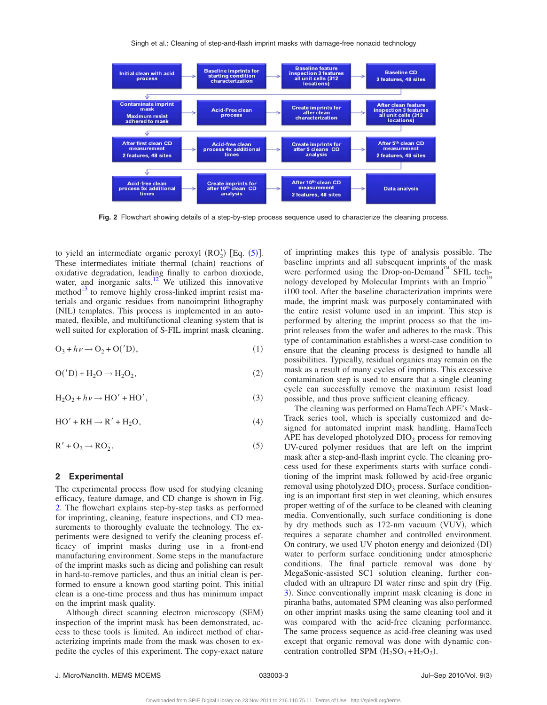Singh et al.: Cleaning of step-and-flash imprint masks with damage-free nonacid technology

<span id="page-2-2"></span>

**Fig. 2** Flowchart showing details of a step-by-step process sequence used to characterize the cleaning process.

to yield an intermediate organic peroxyl  $(RO_2')$  [Eq. ([5](#page-2-1))]. These intermediates initiate thermal (chain) reactions of oxidative degradation, leading finally to carbon dioxiode, water, and inorganic salts. $12^{\circ}$  We utilized this innovative method $13$  to remove highly cross-linked imprint resist materials and organic residues from nanoimprint lithography (NIL) templates. This process is implemented in an automated, flexible, and multifunctional cleaning system that is well suited for exploration of S-FIL imprint mask cleaning.

$$
O_3 + h\nu \to O_2 + O('D), \tag{1}
$$

$$
O('D) + H_2O \rightarrow H_2O_2, \tag{2}
$$

$$
H_2O_2 + h\nu \to HO' + HO',\tag{3}
$$

<span id="page-2-0"></span>
$$
HO' + RH \to R' + H_2O,
$$
\n<sup>(4)</sup>

<span id="page-2-1"></span>
$$
R' + O_2 \rightarrow RO_2^-. \tag{5}
$$

## **2 Experimental**

The experimental process flow used for studying cleaning efficacy, feature damage, and CD change is shown in Fig. [2.](#page-2-2) The flowchart explains step-by-step tasks as performed for imprinting, cleaning, feature inspections, and CD measurements to thoroughly evaluate the technology. The experiments were designed to verify the cleaning process efficacy of imprint masks during use in a front-end manufacturing environment. Some steps in the manufacture of the imprint masks such as dicing and polishing can result in hard-to-remove particles, and thus an initial clean is performed to ensure a known good starting point. This initial clean is a one-time process and thus has minimum impact on the imprint mask quality.

Although direct scanning electron microscopy (SEM) inspection of the imprint mask has been demonstrated, access to these tools is limited. An indirect method of characterizing imprints made from the mask was chosen to expedite the cycles of this experiment. The copy-exact nature

of imprinting makes this type of analysis possible. The baseline imprints and all subsequent imprints of the mask were performed using the Drop-on-Demand™ SFIL technology developed by Molecular Imprints with an Imprio i100 tool. After the baseline characterization imprints were made, the imprint mask was purposely contaminated with the entire resist volume used in an imprint. This step is performed by altering the imprint process so that the imprint releases from the wafer and adheres to the mask. This type of contamination establishes a worst-case condition to ensure that the cleaning process is designed to handle all possibilities. Typically, residual organics may remain on the mask as a result of many cycles of imprints. This excessive contamination step is used to ensure that a single cleaning cycle can successfully remove the maximum resist load possible, and thus prove sufficient cleaning efficacy.

The cleaning was performed on HamaTech APE's Mask-Track series tool, which is specially customized and designed for automated imprint mask handling. HamaTech APE has developed photolyzed  $DIO<sub>3</sub>$  process for removing UV-cured polymer residues that are left on the imprint mask after a step-and-flash imprint cycle. The cleaning process used for these experiments starts with surface conditioning of the imprint mask followed by acid-free organic removal using photolyzed  $DIO<sub>3</sub>$  process. Surface conditioning is an important first step in wet cleaning, which ensures proper wetting of of the surface to be cleaned with cleaning media. Conventionally, such surface conditioning is done by dry methods such as 172-nm vacuum (VUV), which requires a separate chamber and controlled environment. On contrary, we used UV photon energy and deionized (DI) water to perform surface conditioning under atmospheric conditions. The final particle removal was done by MegaSonic-assisted SC1 solution cleaning, further concluded with an ultrapure DI water rinse and spin dry (Fig. [3](#page-3-0)). Since conventionally imprint mask cleaning is done in piranha baths, automated SPM cleaning was also performed on other imprint masks using the same cleaning tool and it was compared with the acid-free cleaning performance. The same process sequence as acid-free cleaning was used except that organic removal was done with dynamic concentration controlled SPM  $(H_2SO_4+H_2O_2)$ .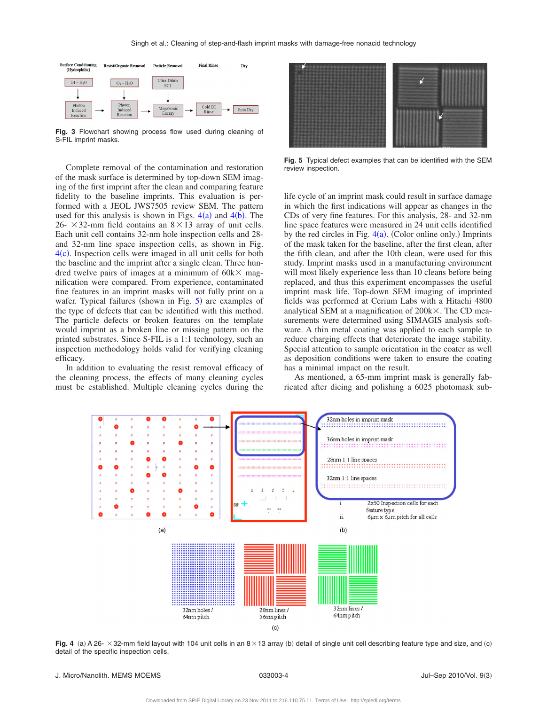<span id="page-3-0"></span>

**Fig. 3** Flowchart showing process flow used during cleaning of S-FIL imprint masks.

Complete removal of the contamination and restoration of the mask surface is determined by top-down SEM imaging of the first imprint after the clean and comparing feature fidelity to the baseline imprints. This evaluation is performed with a JEOL JWS7505 review SEM. The pattern used for this analysis is shown in Figs.  $4(a)$  $4(a)$  and  $4(b)$ . The 26-  $\times$  32-mm field contains an  $8\times13$  array of unit cells. Each unit cell contains 32-nm hole inspection cells and 28 and 32-nm line space inspection cells, as shown in Fig.  $4(c)$  $4(c)$ . Inspection cells were imaged in all unit cells for both the baseline and the imprint after a single clean. Three hundred twelve pairs of images at a minimum of  $60k \times$  magnification were compared. From experience, contaminated fine features in an imprint masks will not fully print on a wafer. Typical failures (shown in Fig. [5](#page-3-2)) are examples of the type of defects that can be identified with this method. The particle defects or broken features on the template would imprint as a broken line or missing pattern on the printed substrates. Since S-FIL is a 1:1 technology, such an inspection methodology holds valid for verifying cleaning efficacy.

In addition to evaluating the resist removal efficacy of the cleaning process, the effects of many cleaning cycles must be established. Multiple cleaning cycles during the

<span id="page-3-2"></span>

**Fig. 5** Typical defect examples that can be identified with the SEM review inspection.

life cycle of an imprint mask could result in surface damage in which the first indications will appear as changes in the CDs of very fine features. For this analysis, 28- and 32-nm line space features were measured in 24 unit cells identified by the red circles in Fig.  $4(a)$  $4(a)$ . (Color online only.) Imprints of the mask taken for the baseline, after the first clean, after the fifth clean, and after the 10th clean, were used for this study. Imprint masks used in a manufacturing environment will most likely experience less than 10 cleans before being replaced, and thus this experiment encompasses the useful imprint mask life. Top-down SEM imaging of imprinted fields was performed at Cerium Labs with a Hitachi 4800 analytical SEM at a magnification of  $200k \times$ . The CD measurements were determined using SIMAGIS analysis software. A thin metal coating was applied to each sample to reduce charging effects that deteriorate the image stability. Special attention to sample orientation in the coater as well as deposition conditions were taken to ensure the coating has a minimal impact on the result.

As mentioned, a 65-mm imprint mask is generally fabricated after dicing and polishing a 6025 photomask sub-

<span id="page-3-1"></span>

Fig. 4 (a) A 26- × 32-mm field layout with 104 unit cells in an 8×13 array (b) detail of single unit cell describing feature type and size, and (c) detail of the specific inspection cells.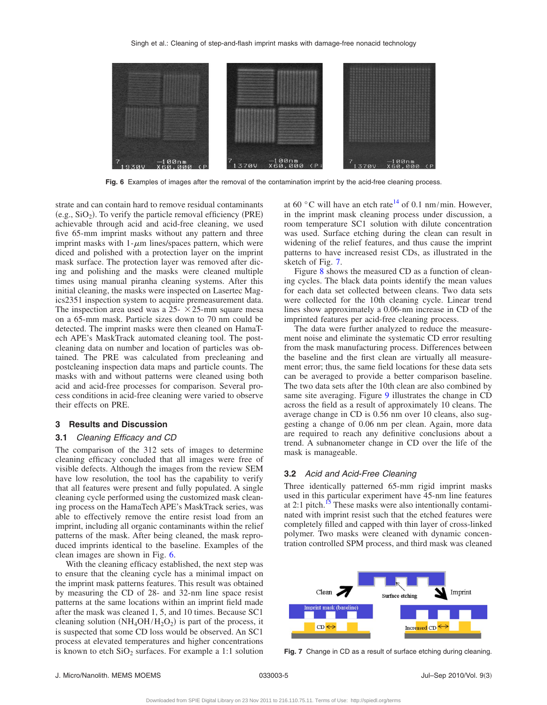<span id="page-4-0"></span>

**Fig. 6** Examples of images after the removal of the contamination imprint by the acid-free cleaning process.

strate and can contain hard to remove residual contaminants (e.g.,  $SiO<sub>2</sub>$ ). To verify the particle removal efficiency (PRE) achievable through acid and acid-free cleaning, we used five 65-mm imprint masks without any pattern and three imprint masks with  $1-\mu m$  lines/spaces pattern, which were diced and polished with a protection layer on the imprint mask surface. The protection layer was removed after dicing and polishing and the masks were cleaned multiple times using manual piranha cleaning systems. After this initial cleaning, the masks were inspected on Lasertec Magics2351 inspection system to acquire premeasurement data. The inspection area used was a  $25 - \times 25$ -mm square mesa on a 65-mm mask. Particle sizes down to 70 nm could be detected. The imprint masks were then cleaned on HamaTech APE's MaskTrack automated cleaning tool. The postcleaning data on number and location of particles was obtained. The PRE was calculated from precleaning and postcleaning inspection data maps and particle counts. The masks with and without patterns were cleaned using both acid and acid-free processes for comparison. Several process conditions in acid-free cleaning were varied to observe their effects on PRE.

# **3 Results and Discussion**

#### **3.1** *Cleaning Efficacy and CD*

The comparison of the 312 sets of images to determine cleaning efficacy concluded that all images were free of visible defects. Although the images from the review SEM have low resolution, the tool has the capability to verify that all features were present and fully populated. A single cleaning cycle performed using the customized mask cleaning process on the HamaTech APE's MaskTrack series, was able to effectively remove the entire resist load from an imprint, including all organic contaminants within the relief patterns of the mask. After being cleaned, the mask reproduced imprints identical to the baseline. Examples of the clean images are shown in Fig. [6.](#page-4-0)

With the cleaning efficacy established, the next step was to ensure that the cleaning cycle has a minimal impact on the imprint mask patterns features. This result was obtained by measuring the CD of 28- and 32-nm line space resist patterns at the same locations within an imprint field made after the mask was cleaned 1, 5, and 10 times. Because SC1 cleaning solution  $(NH_4OH/H_2O_2)$  is part of the process, it is suspected that some CD loss would be observed. An SC1 process at elevated temperatures and higher concentrations is known to etch  $SiO<sub>2</sub>$  surfaces. For example a 1:1 solution

at 60 °C will have an etch rate<sup>14</sup> of 0.1 nm/min. However, in the imprint mask cleaning process under discussion, a room temperature SC1 solution with dilute concentration was used. Surface etching during the clean can result in widening of the relief features, and thus cause the imprint patterns to have increased resist CDs, as illustrated in the sketch of Fig. [7.](#page-4-1)

Figure [8](#page-5-0) shows the measured CD as a function of cleaning cycles. The black data points identify the mean values for each data set collected between cleans. Two data sets were collected for the 10th cleaning cycle. Linear trend lines show approximately a 0.06-nm increase in CD of the imprinted features per acid-free cleaning process.

The data were further analyzed to reduce the measurement noise and eliminate the systematic CD error resulting from the mask manufacturing process. Differences between the baseline and the first clean are virtually all measurement error; thus, the same field locations for these data sets can be averaged to provide a better comparison baseline. The two data sets after the 10th clean are also combined by same site averaging. Figure [9](#page-5-1) illustrates the change in CD across the field as a result of approximately 10 cleans. The average change in CD is 0.56 nm over 10 cleans, also suggesting a change of 0.06 nm per clean. Again, more data are required to reach any definitive conclusions about a trend. A subnanometer change in CD over the life of the mask is manageable.

## **3.2** *Acid and Acid-Free Cleaning*

Three identically patterned 65-mm rigid imprint masks used in this particular experiment have 45-nm line features at 2:1 pitch. $\frac{15}{2}$  These masks were also intentionally contaminated with imprint resist such that the etched features were completely filled and capped with thin layer of cross-linked polymer. Two masks were cleaned with dynamic concentration controlled SPM process, and third mask was cleaned

<span id="page-4-1"></span>

**Fig. 7** Change in CD as a result of surface etching during cleaning.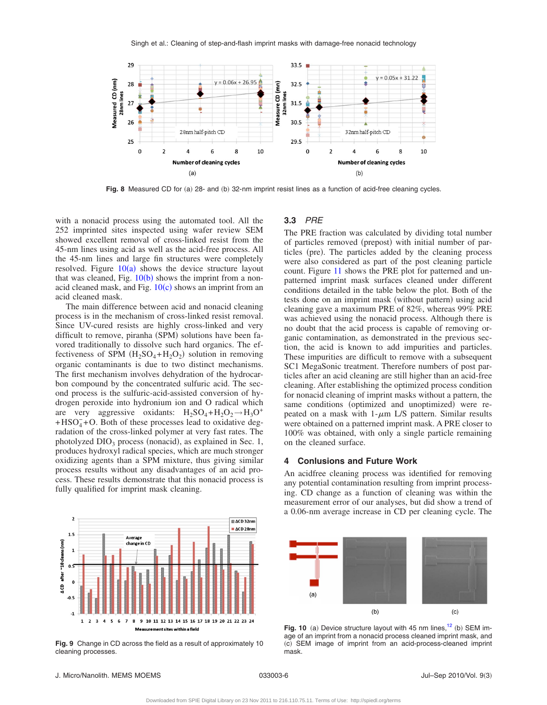<span id="page-5-0"></span>

Fig. 8 Measured CD for (a) 28- and (b) 32-nm imprint resist lines as a function of acid-free cleaning cycles.

with a nonacid process using the automated tool. All the 252 imprinted sites inspected using wafer review SEM showed excellent removal of cross-linked resist from the 45-nm lines using acid as well as the acid-free process. All the 45-nm lines and large fin structures were completely resolved. Figure  $10(a)$  $10(a)$  shows the device structure layout that was cleaned, Fig.  $10(b)$  $10(b)$  shows the imprint from a nonacid cleaned mask, and Fig.  $10(c)$  $10(c)$  shows an imprint from an acid cleaned mask.

The main difference between acid and nonacid cleaning process is in the mechanism of cross-linked resist removal. Since UV-cured resists are highly cross-linked and very difficult to remove, piranha (SPM) solutions have been favored traditionally to dissolve such hard organics. The effectiveness of SPM  $(H_2SO_4+H_2O_2)$  solution in removing organic contaminants is due to two distinct mechanisms. The first mechanism involves dehydration of the hydrocarbon compound by the concentrated sulfuric acid. The second process is the sulfuric-acid-assisted conversion of hydrogen peroxide into hydronium ion and O radical which are very aggressive oxidants:  $H_2SO_4 + H_2O_2 \rightarrow H_3O^+$  $+$ HSO $<sub>4</sub><sup>-</sup>$ +O. Both of these processes lead to oxidative deg-</sub> radation of the cross-linked polymer at very fast rates. The photolyzed DIO<sub>3</sub> process (nonacid), as explained in Sec. 1, produces hydroxyl radical species, which are much stronger oxidizing agents than a SPM mixture, thus giving similar process results without any disadvantages of an acid process. These results demonstrate that this nonacid process is fully qualified for imprint mask cleaning.

## **3.3** *PRE*

The PRE fraction was calculated by dividing total number of particles removed (prepost) with initial number of particles (pre). The particles added by the cleaning process were also considered as part of the post cleaning particle count. Figure [11](#page-6-13) shows the PRE plot for patterned and unpatterned imprint mask surfaces cleaned under different conditions detailed in the table below the plot. Both of the tests done on an imprint mask (without pattern) using acid cleaning gave a maximum PRE of 82%, whereas 99% PRE was achieved using the nonacid process. Although there is no doubt that the acid process is capable of removing organic contamination, as demonstrated in the previous section, the acid is known to add impurities and particles. These impurities are difficult to remove with a subsequent SC1 MegaSonic treatment. Therefore numbers of post particles after an acid cleaning are still higher than an acid-free cleaning. After establishing the optimized process condition for nonacid cleaning of imprint masks without a pattern, the same conditions (optimized and unoptimized) were repeated on a mask with  $1-\mu m$  L/S pattern. Similar results were obtained on a patterned imprint mask. A PRE closer to 100% was obtained, with only a single particle remaining on the cleaned surface.

# **4 Conlusions and Future Work**

An acidfree cleaning process was identified for removing any potential contamination resulting from imprint processing. CD change as a function of cleaning was within the measurement error of our analyses, but did show a trend of a 0.06-nm average increase in CD per cleaning cycle. The

<span id="page-5-1"></span>

**Fig. 9** Change in CD across the field as a result of approximately 10 cleaning processes.

<span id="page-5-2"></span>

Fig. 10 (a) Device structure layout with 45 nm lines,  $12$  (b) SEM image of an imprint from a nonacid process cleaned imprint mask, and (c) SEM image of imprint from an acid-process-cleaned imprint mask.